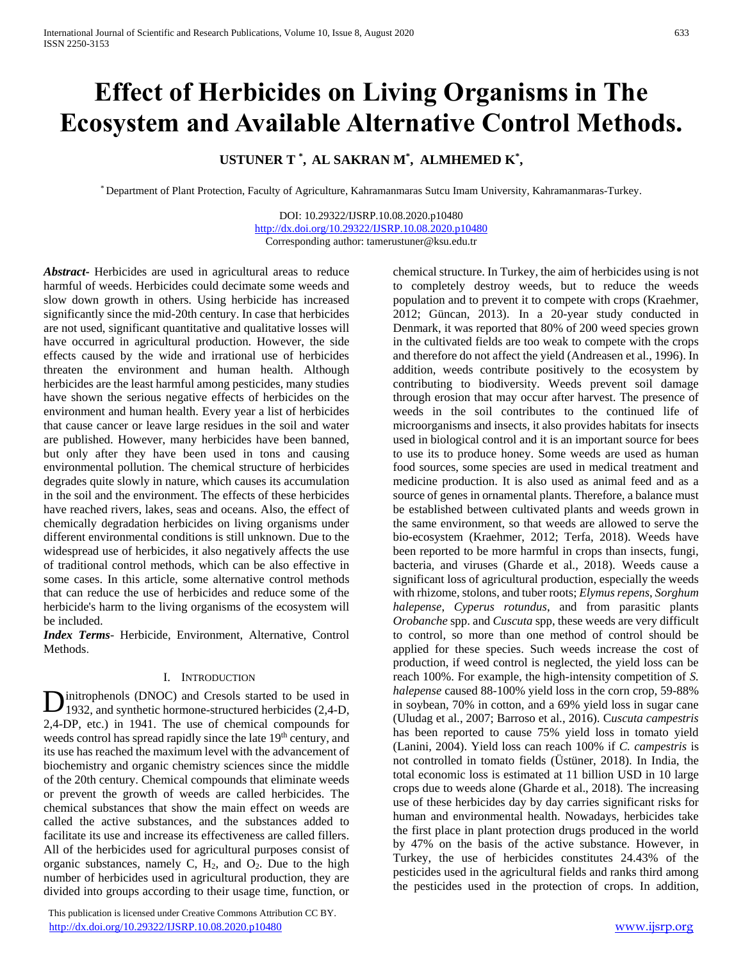# **Effect of Herbicides on Living Organisms in The Ecosystem and Available Alternative Control Methods.**

# **USTUNER T \* , AL SAKRAN M\* , ALMHEMED K\* ,**

\* Department of Plant Protection, Faculty of Agriculture, Kahramanmaras Sutcu Imam University, Kahramanmaras-Turkey.

DOI: 10.29322/IJSRP.10.08.2020.p10480 <http://dx.doi.org/10.29322/IJSRP.10.08.2020.p10480> Corresponding author: tamerustuner@ksu.edu.tr

*Abstract***-** Herbicides are used in agricultural areas to reduce harmful of weeds. Herbicides could decimate some weeds and slow down growth in others. Using herbicide has increased significantly since the mid-20th century. In case that herbicides are not used, significant quantitative and qualitative losses will have occurred in agricultural production. However, the side effects caused by the wide and irrational use of herbicides threaten the environment and human health. Although herbicides are the least harmful among pesticides, many studies have shown the serious negative effects of herbicides on the environment and human health. Every year a list of herbicides that cause cancer or leave large residues in the soil and water are published. However, many herbicides have been banned, but only after they have been used in tons and causing environmental pollution. The chemical structure of herbicides degrades quite slowly in nature, which causes its accumulation in the soil and the environment. The effects of these herbicides have reached rivers, lakes, seas and oceans. Also, the effect of chemically degradation herbicides on living organisms under different environmental conditions is still unknown. Due to the widespread use of herbicides, it also negatively affects the use of traditional control methods, which can be also effective in some cases. In this article, some alternative control methods that can reduce the use of herbicides and reduce some of the herbicide's harm to the living organisms of the ecosystem will be included.

*Index Terms*- Herbicide, Environment, Alternative, Control Methods.

#### I. INTRODUCTION

initrophenols (DNOC) and Cresols started to be used in Dinitrophenols (DNOC) and Cresols started to be used in 1932, and synthetic hormone-structured herbicides (2,4-D, 2,4-DP, etc.) in 1941. The use of chemical compounds for weeds control has spread rapidly since the late 19<sup>th</sup> century, and its use has reached the maximum level with the advancement of biochemistry and organic chemistry sciences since the middle of the 20th century. Chemical compounds that eliminate weeds or prevent the growth of weeds are called herbicides. The chemical substances that show the main effect on weeds are called the active substances, and the substances added to facilitate its use and increase its effectiveness are called fillers. All of the herbicides used for agricultural purposes consist of organic substances, namely C,  $H_2$ , and  $O_2$ . Due to the high number of herbicides used in agricultural production, they are divided into groups according to their usage time, function, or

 This publication is licensed under Creative Commons Attribution CC BY. <http://dx.doi.org/10.29322/IJSRP.10.08.2020.p10480> [www.ijsrp.org](http://ijsrp.org/)

chemical structure. In Turkey, the aim of herbicides using is not to completely destroy weeds, but to reduce the weeds population and to prevent it to compete with crops (Kraehmer, 2012; Güncan, 2013). In a 20-year study conducted in Denmark, it was reported that 80% of 200 weed species grown in the cultivated fields are too weak to compete with the crops and therefore do not affect the yield (Andreasen et al., 1996). In addition, weeds contribute positively to the ecosystem by contributing to biodiversity. Weeds prevent soil damage through erosion that may occur after harvest. The presence of weeds in the soil contributes to the continued life of microorganisms and insects, it also provides habitats for insects used in biological control and it is an important source for bees to use its to produce honey. Some weeds are used as human food sources, some species are used in medical treatment and medicine production. It is also used as animal feed and as a source of genes in ornamental plants. Therefore, a balance must be established between cultivated plants and weeds grown in the same environment, so that weeds are allowed to serve the bio-ecosystem (Kraehmer, 2012; Terfa, 2018). Weeds have been reported to be more harmful in crops than insects, fungi, bacteria, and viruses (Gharde et al., 2018). Weeds cause a significant loss of agricultural production, especially the weeds with rhizome, stolons, and tuber roots; *Elymus repens*, *Sorghum halepense*, *Cyperus rotundus*, and from parasitic plants *Orobanche* spp. and *Cuscuta* spp, these weeds are very difficult to control, so more than one method of control should be applied for these species. Such weeds increase the cost of production, if weed control is neglected, the yield loss can be reach 100%. For example, the high-intensity competition of *S. halepense* caused 88-100% yield loss in the corn crop, 59-88% in soybean, 70% in cotton, and a 69% yield loss in sugar cane (Uludag et al., 2007; Barroso et al., 2016). C*uscuta campestris* has been reported to cause 75% yield loss in tomato yield (Lanini, 2004). Yield loss can reach 100% if *C. campestris* is not controlled in tomato fields (Üstüner, 2018). In India, the total economic loss is estimated at 11 billion USD in 10 large crops due to weeds alone (Gharde et al., 2018). The increasing use of these herbicides day by day carries significant risks for human and environmental health. Nowadays, herbicides take the first place in plant protection drugs produced in the world by 47% on the basis of the active substance. However, in Turkey, the use of herbicides constitutes 24.43% of the pesticides used in the agricultural fields and ranks third among the pesticides used in the protection of crops. In addition,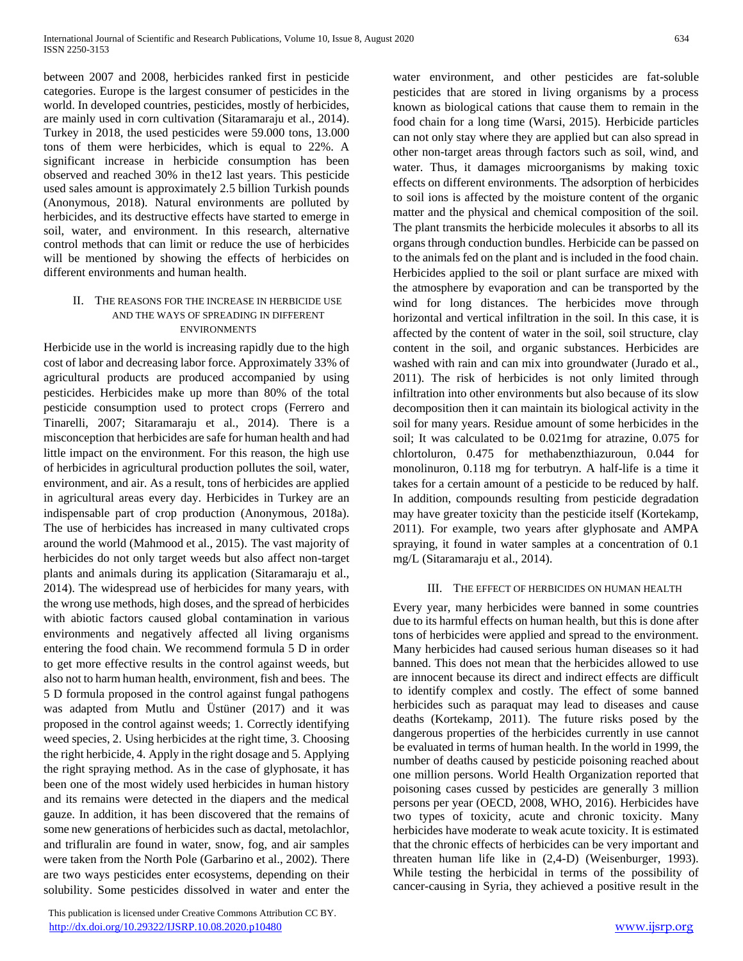between 2007 and 2008, herbicides ranked first in pesticide categories. Europe is the largest consumer of pesticides in the world. In developed countries, pesticides, mostly of herbicides, are mainly used in corn cultivation (Sitaramaraju et al., 2014). Turkey in 2018, the used pesticides were 59.000 tons, 13.000 tons of them were herbicides, which is equal to 22%. A significant increase in herbicide consumption has been observed and reached 30% in the12 last years. This pesticide used sales amount is approximately 2.5 billion Turkish pounds (Anonymous, 2018). Natural environments are polluted by herbicides, and its destructive effects have started to emerge in soil, water, and environment. In this research, alternative control methods that can limit or reduce the use of herbicides will be mentioned by showing the effects of herbicides on different environments and human health.

#### II. THE REASONS FOR THE INCREASE IN HERBICIDE USE AND THE WAYS OF SPREADING IN DIFFERENT ENVIRONMENTS

Herbicide use in the world is increasing rapidly due to the high cost of labor and decreasing labor force. Approximately 33% of agricultural products are produced accompanied by using pesticides. Herbicides make up more than 80% of the total pesticide consumption used to protect crops (Ferrero and Tinarelli, 2007; Sitaramaraju et al., 2014). There is a misconception that herbicides are safe for human health and had little impact on the environment. For this reason, the high use of herbicides in agricultural production pollutes the soil, water, environment, and air. As a result, tons of herbicides are applied in agricultural areas every day. Herbicides in Turkey are an indispensable part of crop production (Anonymous, 2018a). The use of herbicides has increased in many cultivated crops around the world (Mahmood et al., 2015). The vast majority of herbicides do not only target weeds but also affect non-target plants and animals during its application (Sitaramaraju et al., 2014). The widespread use of herbicides for many years, with the wrong use methods, high doses, and the spread of herbicides with abiotic factors caused global contamination in various environments and negatively affected all living organisms entering the food chain. We recommend formula 5 D in order to get more effective results in the control against weeds, but also not to harm human health, environment, fish and bees. The 5 D formula proposed in the control against fungal pathogens was adapted from Mutlu and Üstüner (2017) and it was proposed in the control against weeds; 1. Correctly identifying weed species, 2. Using herbicides at the right time, 3. Choosing the right herbicide, 4. Apply in the right dosage and 5. Applying the right spraying method. As in the case of glyphosate, it has been one of the most widely used herbicides in human history and its remains were detected in the diapers and the medical gauze. In addition, it has been discovered that the remains of some new generations of herbicides such as dactal, metolachlor, and trifluralin are found in water, snow, fog, and air samples were taken from the North Pole (Garbarino et al., 2002). There are two ways pesticides enter ecosystems, depending on their solubility. Some pesticides dissolved in water and enter the

 This publication is licensed under Creative Commons Attribution CC BY. <http://dx.doi.org/10.29322/IJSRP.10.08.2020.p10480> [www.ijsrp.org](http://ijsrp.org/)

water environment, and other pesticides are fat-soluble pesticides that are stored in living organisms by a process known as biological cations that cause them to remain in the food chain for a long time (Warsi, 2015). Herbicide particles can not only stay where they are applied but can also spread in other non-target areas through factors such as soil, wind, and water. Thus, it damages microorganisms by making toxic effects on different environments. The adsorption of herbicides to soil ions is affected by the moisture content of the organic matter and the physical and chemical composition of the soil. The plant transmits the herbicide molecules it absorbs to all its organs through conduction bundles. Herbicide can be passed on to the animals fed on the plant and is included in the food chain. Herbicides applied to the soil or plant surface are mixed with the atmosphere by evaporation and can be transported by the wind for long distances. The herbicides move through horizontal and vertical infiltration in the soil. In this case, it is affected by the content of water in the soil, soil structure, clay content in the soil, and organic substances. Herbicides are washed with rain and can mix into groundwater (Jurado et al., 2011). The risk of herbicides is not only limited through infiltration into other environments but also because of its slow decomposition then it can maintain its biological activity in the soil for many years. Residue amount of some herbicides in the soil; It was calculated to be 0.021mg for atrazine, 0.075 for chlortoluron, 0.475 for methabenzthiazuroun, 0.044 for monolinuron, 0.118 mg for terbutryn. A half-life is a time it takes for a certain amount of a pesticide to be reduced by half. In addition, compounds resulting from pesticide degradation may have greater toxicity than the pesticide itself (Kortekamp, 2011). For example, two years after glyphosate and AMPA spraying, it found in water samples at a concentration of 0.1 mg/L (Sitaramaraju et al., 2014).

#### III. THE EFFECT OF HERBICIDES ON HUMAN HEALTH

Every year, many herbicides were banned in some countries due to its harmful effects on human health, but this is done after tons of herbicides were applied and spread to the environment. Many herbicides had caused serious human diseases so it had banned. This does not mean that the herbicides allowed to use are innocent because its direct and indirect effects are difficult to identify complex and costly. The effect of some banned herbicides such as paraquat may lead to diseases and cause deaths (Kortekamp, 2011). The future risks posed by the dangerous properties of the herbicides currently in use cannot be evaluated in terms of human health. In the world in 1999, the number of deaths caused by pesticide poisoning reached about one million persons. World Health Organization reported that poisoning cases cussed by pesticides are generally 3 million persons per year (OECD, 2008, WHO, 2016). Herbicides have two types of toxicity, acute and chronic toxicity. Many herbicides have moderate to weak acute toxicity. It is estimated that the chronic effects of herbicides can be very important and threaten human life like in (2,4-D) (Weisenburger, 1993). While testing the herbicidal in terms of the possibility of cancer-causing in Syria, they achieved a positive result in the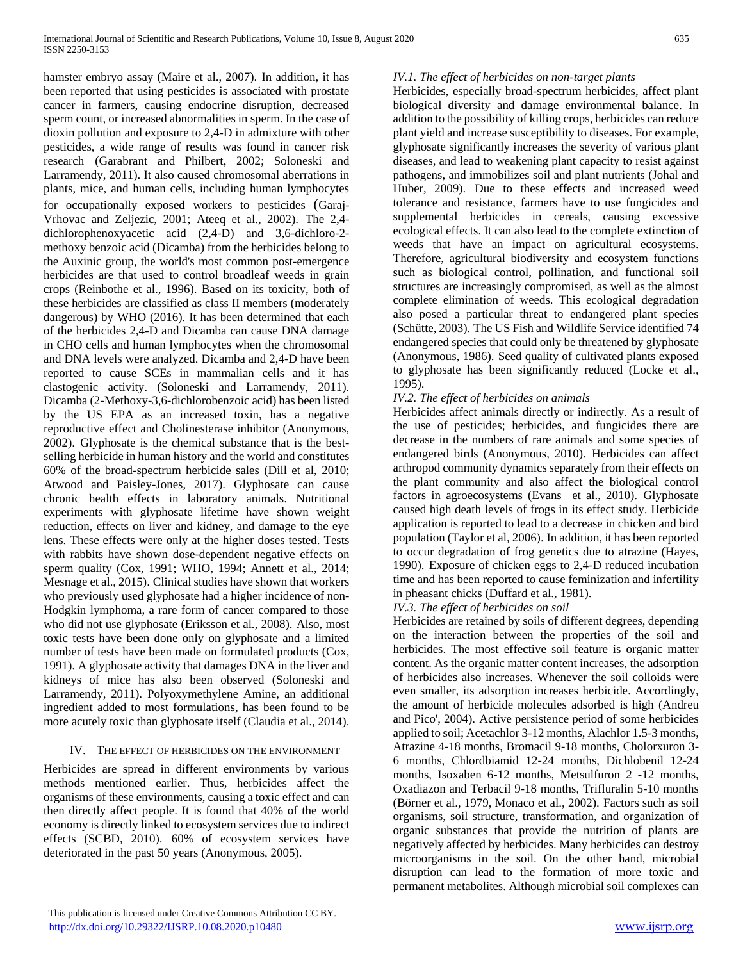hamster embryo assay (Maire et al., 2007). In addition, it has been reported that using pesticides is associated with prostate cancer in farmers, causing endocrine disruption, decreased sperm count, or increased abnormalities in sperm. In the case of dioxin pollution and exposure to 2,4-D in admixture with other pesticides, a wide range of results was found in cancer risk research (Garabrant and Philbert, 2002; Soloneski and Larramendy, 2011). It also caused chromosomal aberrations in plants, mice, and human cells, including human lymphocytes for occupationally exposed workers to pesticides (Garaj-Vrhovac and Zeljezic, 2001; Ateeq et al., 2002). The 2,4 dichlorophenoxyacetic acid (2,4-D) and 3,6-dichloro-2 methoxy benzoic acid (Dicamba) from the herbicides belong to the Auxinic group, the world's most common post-emergence herbicides are that used to control broadleaf weeds in grain crops (Reinbothe et al., 1996). Based on its toxicity, both of these herbicides are classified as class II members (moderately dangerous) by WHO (2016). It has been determined that each of the herbicides 2,4-D and Dicamba can cause DNA damage in CHO cells and human lymphocytes when the chromosomal and DNA levels were analyzed. Dicamba and 2,4-D have been reported to cause SCEs in mammalian cells and it has clastogenic activity. (Soloneski and Larramendy, 2011). Dicamba (2-Methoxy-3,6-dichlorobenzoic acid) has been listed by the US EPA as an increased toxin, has a negative reproductive effect and Cholinesterase inhibitor (Anonymous, 2002). Glyphosate is the chemical substance that is the bestselling herbicide in human history and the world and constitutes 60% of the broad-spectrum herbicide sales (Dill et al, 2010; Atwood and Paisley-Jones, 2017). Glyphosate can cause chronic health effects in laboratory animals. Nutritional experiments with glyphosate lifetime have shown weight reduction, effects on liver and kidney, and damage to the eye lens. These effects were only at the higher doses tested. Tests with rabbits have shown dose-dependent negative effects on sperm quality (Cox, 1991; WHO, 1994; Annett et al., 2014; Mesnage et al., 2015). Clinical studies have shown that workers who previously used glyphosate had a higher incidence of non-Hodgkin lymphoma, a rare form of cancer compared to those who did not use glyphosate (Eriksson et al., 2008). Also, most toxic tests have been done only on glyphosate and a limited number of tests have been made on formulated products (Cox, 1991). A glyphosate activity that damages DNA in the liver and kidneys of mice has also been observed (Soloneski and Larramendy, 2011). Polyoxymethylene Amine, an additional ingredient added to most formulations, has been found to be more acutely toxic than glyphosate itself (Claudia et al., 2014).

# IV. THE EFFECT OF HERBICIDES ON THE ENVIRONMENT

Herbicides are spread in different environments by various methods mentioned earlier. Thus, herbicides affect the organisms of these environments, causing a toxic effect and can then directly affect people. It is found that 40% of the world economy is directly linked to ecosystem services due to indirect effects (SCBD, 2010). 60% of ecosystem services have deteriorated in the past 50 years (Anonymous, 2005).

# *IV.1. The effect of herbicides on non-target plants*

Herbicides, especially broad-spectrum herbicides, affect plant biological diversity and damage environmental balance. In addition to the possibility of killing crops, herbicides can reduce plant yield and increase susceptibility to diseases. For example, glyphosate significantly increases the severity of various plant diseases, and lead to weakening plant capacity to resist against pathogens, and immobilizes soil and plant nutrients (Johal and Huber, 2009). Due to these effects and increased weed tolerance and resistance, farmers have to use fungicides and supplemental herbicides in cereals, causing excessive ecological effects. It can also lead to the complete extinction of weeds that have an impact on agricultural ecosystems. Therefore, agricultural biodiversity and ecosystem functions such as biological control, pollination, and functional soil structures are increasingly compromised, as well as the almost complete elimination of weeds. This ecological degradation also posed a particular threat to endangered plant species (Schütte, 2003). The US Fish and Wildlife Service identified 74 endangered species that could only be threatened by glyphosate (Anonymous, 1986). Seed quality of cultivated plants exposed to glyphosate has been significantly reduced (Locke et al., 1995).

## *IV.2. The effect of herbicides on animals*

Herbicides affect animals directly or indirectly. As a result of the use of pesticides; herbicides, and fungicides there are decrease in the numbers of rare animals and some species of endangered birds (Anonymous, 2010). Herbicides can affect arthropod community dynamics separately from their effects on the plant community and also affect the biological control factors in agroecosystems (Evans et al., 2010). Glyphosate caused high death levels of frogs in its effect study. Herbicide application is reported to lead to a decrease in chicken and bird population (Taylor et al, 2006). In addition, it has been reported to occur degradation of frog genetics due to atrazine (Hayes, 1990). Exposure of chicken eggs to 2,4-D reduced incubation time and has been reported to cause feminization and infertility in pheasant chicks (Duffard et al., 1981).

## *IV.3. The effect of herbicides on soil*

Herbicides are retained by soils of different degrees, depending on the interaction between the properties of the soil and herbicides. The most effective soil feature is organic matter content. As the organic matter content increases, the adsorption of herbicides also increases. Whenever the soil colloids were even smaller, its adsorption increases herbicide. Accordingly, the amount of herbicide molecules adsorbed is high (Andreu and Pico', 2004). Active persistence period of some herbicides applied to soil; Acetachlor 3-12 months, Alachlor 1.5-3 months, Atrazine 4-18 months, Bromacil 9-18 months, Cholorxuron 3- 6 months, Chlordbiamid 12-24 months, Dichlobenil 12-24 months, Isoxaben 6-12 months, Metsulfuron 2 -12 months, Oxadiazon and Terbacil 9-18 months, Trifluralin 5-10 months (Börner et al., 1979, Monaco et al., 2002). Factors such as soil organisms, soil structure, transformation, and organization of organic substances that provide the nutrition of plants are negatively affected by herbicides. Many herbicides can destroy microorganisms in the soil. On the other hand, microbial disruption can lead to the formation of more toxic and permanent metabolites. Although microbial soil complexes can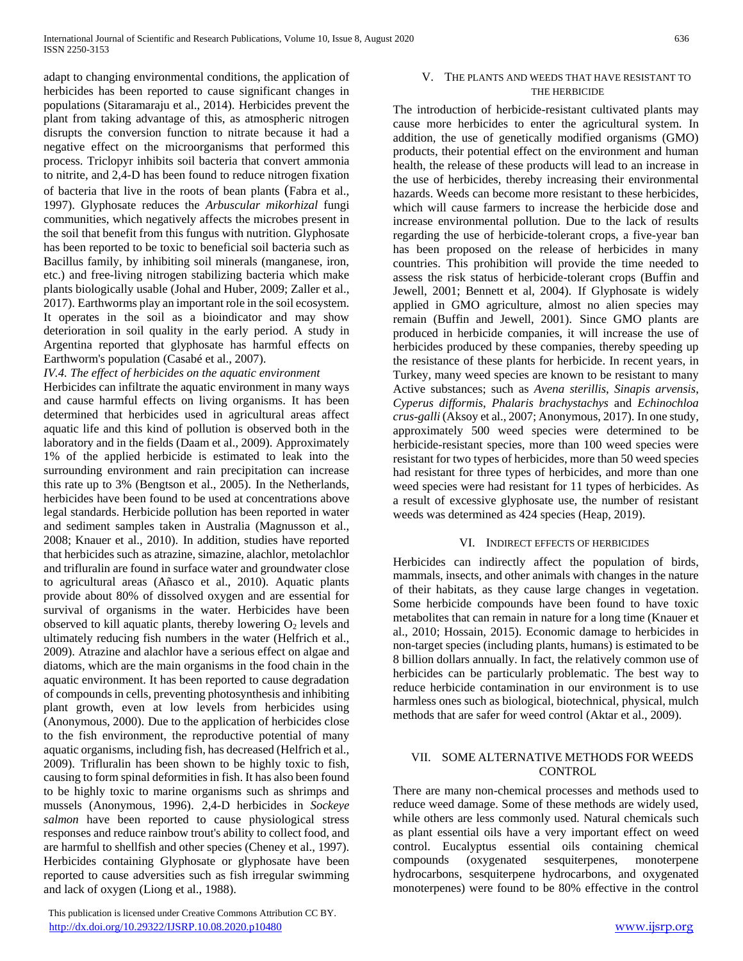adapt to changing environmental conditions, the application of herbicides has been reported to cause significant changes in populations (Sitaramaraju et al., 2014). Herbicides prevent the plant from taking advantage of this, as atmospheric nitrogen disrupts the conversion function to nitrate because it had a negative effect on the microorganisms that performed this process. Triclopyr inhibits soil bacteria that convert ammonia to nitrite, and 2,4-D has been found to reduce nitrogen fixation of bacteria that live in the roots of bean plants (Fabra et al., 1997). Glyphosate reduces the *Arbuscular mikorhizal* fungi communities, which negatively affects the microbes present in the soil that benefit from this fungus with nutrition. Glyphosate has been reported to be toxic to beneficial soil bacteria such as Bacillus family, by inhibiting soil minerals (manganese, iron, etc.) and free-living nitrogen stabilizing bacteria which make plants biologically usable (Johal and Huber, 2009; Zaller et al., 2017). Earthworms play an important role in the soil ecosystem. It operates in the soil as a bioindicator and may show deterioration in soil quality in the early period. A study in Argentina reported that glyphosate has harmful effects on Earthworm's population (Casabé et al., 2007).

*IV.4. The effect of herbicides on the aquatic environment*

Herbicides can infiltrate the aquatic environment in many ways and cause harmful effects on living organisms. It has been determined that herbicides used in agricultural areas affect aquatic life and this kind of pollution is observed both in the laboratory and in the fields (Daam et al., 2009). Approximately 1% of the applied herbicide is estimated to leak into the surrounding environment and rain precipitation can increase this rate up to 3% (Bengtson et al., 2005). In the Netherlands, herbicides have been found to be used at concentrations above legal standards. Herbicide pollution has been reported in water and sediment samples taken in Australia (Magnusson et al., 2008; Knauer et al., 2010). In addition, studies have reported that herbicides such as atrazine, simazine, alachlor, metolachlor and trifluralin are found in surface water and groundwater close to agricultural areas (Añasco et al., 2010). Aquatic plants provide about 80% of dissolved oxygen and are essential for survival of organisms in the water. Herbicides have been observed to kill aquatic plants, thereby lowering  $O_2$  levels and ultimately reducing fish numbers in the water (Helfrich et al., 2009). Atrazine and alachlor have a serious effect on algae and diatoms, which are the main organisms in the food chain in the aquatic environment. It has been reported to cause degradation of compounds in cells, preventing photosynthesis and inhibiting plant growth, even at low levels from herbicides using (Anonymous, 2000). Due to the application of herbicides close to the fish environment, the reproductive potential of many aquatic organisms, including fish, has decreased (Helfrich et al., 2009). Trifluralin has been shown to be highly toxic to fish, causing to form spinal deformities in fish. It has also been found to be highly toxic to marine organisms such as shrimps and mussels (Anonymous, 1996). 2,4-D herbicides in *Sockeye salmon* have been reported to cause physiological stress responses and reduce rainbow trout's ability to collect food, and are harmful to shellfish and other species (Cheney et al., 1997). Herbicides containing Glyphosate or glyphosate have been reported to cause adversities such as fish irregular swimming and lack of oxygen (Liong et al., 1988).

#### This publication is licensed under Creative Commons Attribution CC BY. <http://dx.doi.org/10.29322/IJSRP.10.08.2020.p10480> [www.ijsrp.org](http://ijsrp.org/)

#### V. THE PLANTS AND WEEDS THAT HAVE RESISTANT TO THE HERBICIDE

The introduction of herbicide-resistant cultivated plants may cause more herbicides to enter the agricultural system. In addition, the use of genetically modified organisms (GMO) products, their potential effect on the environment and human health, the release of these products will lead to an increase in the use of herbicides, thereby increasing their environmental hazards. Weeds can become more resistant to these herbicides, which will cause farmers to increase the herbicide dose and increase environmental pollution. Due to the lack of results regarding the use of herbicide-tolerant crops, a five-year ban has been proposed on the release of herbicides in many countries. This prohibition will provide the time needed to assess the risk status of herbicide-tolerant crops (Buffin and Jewell, 2001; Bennett et al, 2004). If Glyphosate is widely applied in GMO agriculture, almost no alien species may remain (Buffin and Jewell, 2001). Since GMO plants are produced in herbicide companies, it will increase the use of herbicides produced by these companies, thereby speeding up the resistance of these plants for herbicide. In recent years, in Turkey, many weed species are known to be resistant to many Active substances; such as *Avena sterillis*, *Sinapis arvensis*, *Cyperus difformis*, *Phalaris brachystachys* and *Echinochloa crus-galli* (Aksoy et al., 2007; Anonymous, 2017). In one study, approximately 500 weed species were determined to be herbicide-resistant species, more than 100 weed species were resistant for two types of herbicides, more than 50 weed species had resistant for three types of herbicides, and more than one weed species were had resistant for 11 types of herbicides. As a result of excessive glyphosate use, the number of resistant weeds was determined as 424 species (Heap, 2019).

#### VI. INDIRECT EFFECTS OF HERBICIDES

Herbicides can indirectly affect the population of birds, mammals, insects, and other animals with changes in the nature of their habitats, as they cause large changes in vegetation. Some herbicide compounds have been found to have toxic metabolites that can remain in nature for a long time (Knauer et al., 2010; Hossain, 2015). Economic damage to herbicides in non-target species (including plants, humans) is estimated to be 8 billion dollars annually. In fact, the relatively common use of herbicides can be particularly problematic. The best way to reduce herbicide contamination in our environment is to use harmless ones such as biological, biotechnical, physical, mulch methods that are safer for weed control (Aktar et al., 2009).

#### VII. SOME ALTERNATIVE METHODS FOR WEEDS CONTROL

There are many non-chemical processes and methods used to reduce weed damage. Some of these methods are widely used, while others are less commonly used. Natural chemicals such as plant essential oils have a very important effect on weed control. Eucalyptus essential oils containing chemical compounds (oxygenated sesquiterpenes, monoterpene hydrocarbons, sesquiterpene hydrocarbons, and oxygenated monoterpenes) were found to be 80% effective in the control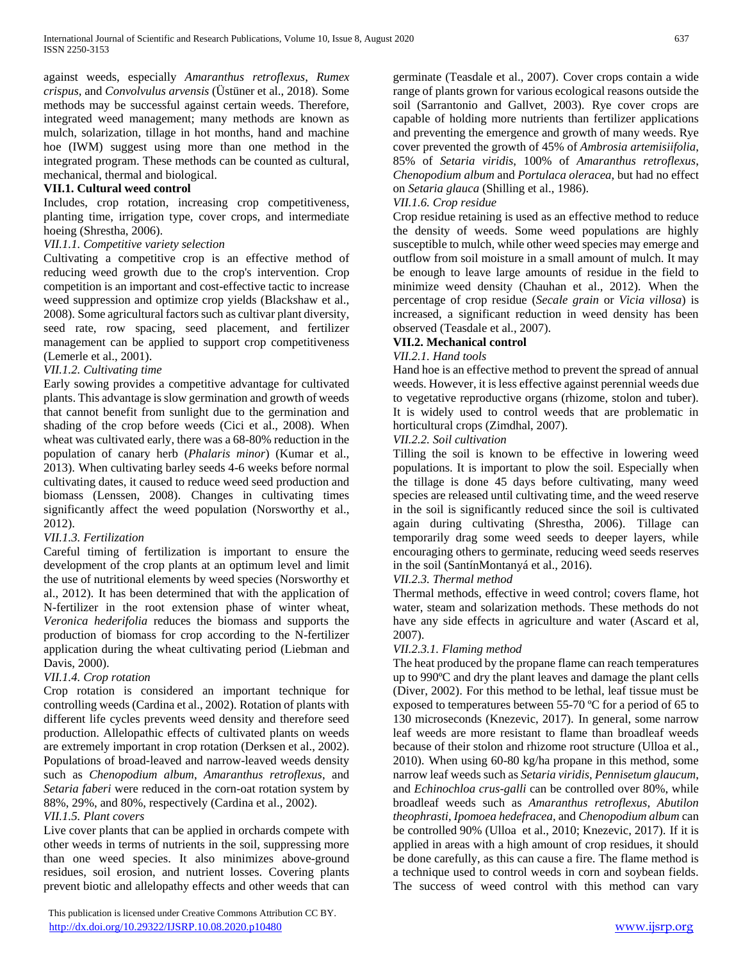against weeds, especially *Amaranthus retroflexus*, *Rumex crispus*, and *Convolvulus arvensis* (Üstüner et al., 2018). Some methods may be successful against certain weeds. Therefore, integrated weed management; many methods are known as mulch, solarization, tillage in hot months, hand and machine hoe (IWM) suggest using more than one method in the integrated program. These methods can be counted as cultural, mechanical, thermal and biological.

## **VII.1. Cultural weed control**

Includes, crop rotation, increasing crop competitiveness, planting time, irrigation type, cover crops, and intermediate hoeing (Shrestha, 2006).

## *VII.1.1. Competitive variety selection*

Cultivating a competitive crop is an effective method of reducing weed growth due to the crop's intervention. Crop competition is an important and cost-effective tactic to increase weed suppression and optimize crop yields (Blackshaw et al., 2008). Some agricultural factors such as cultivar plant diversity, seed rate, row spacing, seed placement, and fertilizer management can be applied to support crop competitiveness (Lemerle et al., 2001).

#### *VII.1.2. Cultivating time*

Early sowing provides a competitive advantage for cultivated plants. This advantage is slow germination and growth of weeds that cannot benefit from sunlight due to the germination and shading of the crop before weeds (Cici et al., 2008). When wheat was cultivated early, there was a 68-80% reduction in the population of canary herb (*Phalaris minor*) (Kumar et al., 2013). When cultivating barley seeds 4-6 weeks before normal cultivating dates, it caused to reduce weed seed production and biomass (Lenssen, 2008). Changes in cultivating times significantly affect the weed population (Norsworthy et al., 2012).

## *VII.1.3. Fertilization*

Careful timing of fertilization is important to ensure the development of the crop plants at an optimum level and limit the use of nutritional elements by weed species (Norsworthy et al., 2012). It has been determined that with the application of N-fertilizer in the root extension phase of winter wheat, *Veronica hederifolia* reduces the biomass and supports the production of biomass for crop according to the N-fertilizer application during the wheat cultivating period (Liebman and Davis, 2000).

## *VII.1.4. Crop rotation*

Crop rotation is considered an important technique for controlling weeds (Cardina et al., 2002). Rotation of plants with different life cycles prevents weed density and therefore seed production. Allelopathic effects of cultivated plants on weeds are extremely important in crop rotation (Derksen et al., 2002). Populations of broad-leaved and narrow-leaved weeds density such as *Chenopodium album*, *Amaranthus retroflexus*, and *Setaria faberi* were reduced in the corn-oat rotation system by 88%, 29%, and 80%, respectively (Cardina et al., 2002).

## *VII.1.5. Plant covers*

Live cover plants that can be applied in orchards compete with other weeds in terms of nutrients in the soil, suppressing more than one weed species. It also minimizes above-ground residues, soil erosion, and nutrient losses. Covering plants prevent biotic and allelopathy effects and other weeds that can

germinate (Teasdale et al., 2007). Cover crops contain a wide range of plants grown for various ecological reasons outside the soil (Sarrantonio and Gallvet, 2003). Rye cover crops are capable of holding more nutrients than fertilizer applications and preventing the emergence and growth of many weeds. Rye cover prevented the growth of 45% of *Ambrosia artemisiifolia*, 85% of *Setaria viridis*, 100% of *Amaranthus retroflexus*, *Chenopodium album* and *Portulaca oleracea*, but had no effect on *Setaria glauca* (Shilling et al., 1986).

#### *VII.1.6. Crop residue*

Crop residue retaining is used as an effective method to reduce the density of weeds. Some weed populations are highly susceptible to mulch, while other weed species may emerge and outflow from soil moisture in a small amount of mulch. It may be enough to leave large amounts of residue in the field to minimize weed density (Chauhan et al., 2012). When the percentage of crop residue (*Secale grain* or *Vicia villosa*) is increased, a significant reduction in weed density has been observed (Teasdale et al., 2007).

## **VII.2. Mechanical control**

#### *VII.2.1. Hand tools*

Hand hoe is an effective method to prevent the spread of annual weeds. However, it is less effective against perennial weeds due to vegetative reproductive organs (rhizome, stolon and tuber). It is widely used to control weeds that are problematic in horticultural crops (Zimdhal, 2007).

#### *VII.2.2. Soil cultivation*

Tilling the soil is known to be effective in lowering weed populations. It is important to plow the soil. Especially when the tillage is done 45 days before cultivating, many weed species are released until cultivating time, and the weed reserve in the soil is significantly reduced since the soil is cultivated again during cultivating (Shrestha, 2006). Tillage can temporarily drag some weed seeds to deeper layers, while encouraging others to germinate, reducing weed seeds reserves in the soil (SantínMontanyá et al., 2016).

## *VII.2.3. Thermal method*

Thermal methods, effective in weed control; covers flame, hot water, steam and solarization methods. These methods do not have any side effects in agriculture and water (Ascard et al, 2007).

#### *VII.2.3.1. Flaming method*

The heat produced by the propane flame can reach temperatures up to 990ºC and dry the plant leaves and damage the plant cells (Diver, 2002). For this method to be lethal, leaf tissue must be exposed to temperatures between 55-70 ºC for a period of 65 to 130 microseconds (Knezevic, 2017). In general, some narrow leaf weeds are more resistant to flame than broadleaf weeds because of their stolon and rhizome root structure (Ulloa et al., 2010). When using 60-80 kg/ha propane in this method, some narrow leaf weeds such as *Setaria viridis*, *Pennisetum glaucum*, and *Echinochloa crus-galli* can be controlled over 80%, while broadleaf weeds such as *Amaranthus retroflexus*, *Abutilon theophrasti*, *Ipomoea hedefracea*, and *Chenopodium album* can be controlled 90% (Ulloa et al., 2010; Knezevic, 2017). If it is applied in areas with a high amount of crop residues, it should be done carefully, as this can cause a fire. The flame method is a technique used to control weeds in corn and soybean fields. The success of weed control with this method can vary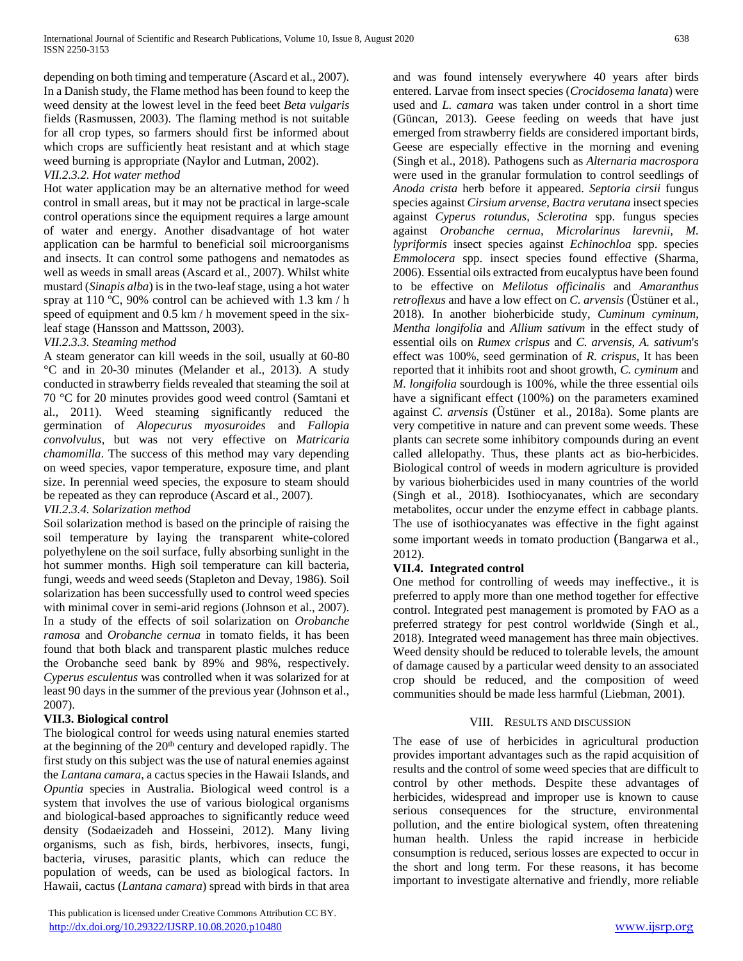depending on both timing and temperature (Ascard et al., 2007). In a Danish study, the Flame method has been found to keep the weed density at the lowest level in the feed beet *Beta vulgaris* fields (Rasmussen, 2003). The flaming method is not suitable for all crop types, so farmers should first be informed about which crops are sufficiently heat resistant and at which stage weed burning is appropriate (Naylor and Lutman, 2002).

## *VII.2.3.2. Hot water method*

Hot water application may be an alternative method for weed control in small areas, but it may not be practical in large-scale control operations since the equipment requires a large amount of water and energy. Another disadvantage of hot water application can be harmful to beneficial soil microorganisms and insects. It can control some pathogens and nematodes as well as weeds in small areas (Ascard et al., 2007). Whilst white mustard (*Sinapis alba*) is in the two-leaf stage, using a hot water spray at 110 °C, 90% control can be achieved with 1.3 km / h speed of equipment and 0.5 km / h movement speed in the sixleaf stage (Hansson and Mattsson, 2003).

## *VII.2.3.3. Steaming method*

A steam generator can kill weeds in the soil, usually at 60-80 °C and in 20-30 minutes (Melander et al., 2013). A study conducted in strawberry fields revealed that steaming the soil at 70 °C for 20 minutes provides good weed control (Samtani et al., 2011). Weed steaming significantly reduced the germination of *Alopecurus myosuroides* and *Fallopia convolvulus*, but was not very effective on *Matricaria chamomilla*. The success of this method may vary depending on weed species, vapor temperature, exposure time, and plant size. In perennial weed species, the exposure to steam should be repeated as they can reproduce (Ascard et al., 2007).

## *VII.2.3.4. Solarization method*

Soil solarization method is based on the principle of raising the soil temperature by laying the transparent white-colored polyethylene on the soil surface, fully absorbing sunlight in the hot summer months. High soil temperature can kill bacteria, fungi, weeds and weed seeds (Stapleton and Devay, 1986). Soil solarization has been successfully used to control weed species with minimal cover in semi-arid regions (Johnson et al., 2007). In a study of the effects of soil solarization on *Orobanche ramosa* and *Orobanche cernua* in tomato fields, it has been found that both black and transparent plastic mulches reduce the Orobanche seed bank by 89% and 98%, respectively. *Cyperus esculentus* was controlled when it was solarized for at least 90 days in the summer of the previous year (Johnson et al., 2007).

## **VII.3. Biological control**

The biological control for weeds using natural enemies started at the beginning of the 20<sup>th</sup> century and developed rapidly. The first study on this subject was the use of natural enemies against the *Lantana camara*, a cactus species in the Hawaii Islands, and *Opuntia* species in Australia. Biological weed control is a system that involves the use of various biological organisms and biological-based approaches to significantly reduce weed density (Sodaeizadeh and Hosseini, 2012). Many living organisms, such as fish, birds, herbivores, insects, fungi, bacteria, viruses, parasitic plants, which can reduce the population of weeds, can be used as biological factors. In Hawaii, cactus (*Lantana camara*) spread with birds in that area

and was found intensely everywhere 40 years after birds entered. Larvae from insect species (*Crocidosema lanata*) were used and *L. camara* was taken under control in a short time (Güncan, 2013). Geese feeding on weeds that have just emerged from strawberry fields are considered important birds, Geese are especially effective in the morning and evening (Singh et al., 2018). Pathogens such as *Alternaria macrospora* were used in the granular formulation to control seedlings of *Anoda crista* herb before it appeared. *Septoria cirsii* fungus species against *Cirsium arvense*, *Bactra verutana* insect species against *Cyperus rotundus*, *Sclerotina* spp. fungus species against *Orobanche cernua*, *Microlarinus larevnii, M. lypriformis* insect species against *Echinochloa* spp. species *Emmolocera* spp. insect species found effective (Sharma, 2006). Essential oils extracted from eucalyptus have been found to be effective on *Melilotus officinalis* and *Amaranthus retroflexus* and have a low effect on *C. arvensis* (Üstüner et al., 2018). In another bioherbicide study, *Cuminum cyminum*, *Mentha longifolia* and *Allium sativum* in the effect study of essential oils on *Rumex crispus* and *C. arvensis*, *A. sativum*'s effect was 100%, seed germination of *R. crispus*, It has been reported that it inhibits root and shoot growth, *C. cyminum* and *M. longifolia* sourdough is 100%, while the three essential oils have a significant effect (100%) on the parameters examined against *C. arvensis* (Üstüner et al., 2018a). Some plants are very competitive in nature and can prevent some weeds. These plants can secrete some inhibitory compounds during an event called allelopathy. Thus, these plants act as bio-herbicides. Biological control of weeds in modern agriculture is provided by various bioherbicides used in many countries of the world (Singh et al., 2018). Isothiocyanates, which are secondary metabolites, occur under the enzyme effect in cabbage plants. The use of isothiocyanates was effective in the fight against some important weeds in tomato production (Bangarwa et al., 2012).

## **VII.4. Integrated control**

One method for controlling of weeds may ineffective., it is preferred to apply more than one method together for effective control. Integrated pest management is promoted by FAO as a preferred strategy for pest control worldwide (Singh et al., 2018). Integrated weed management has three main objectives. Weed density should be reduced to tolerable levels, the amount of damage caused by a particular weed density to an associated crop should be reduced, and the composition of weed communities should be made less harmful (Liebman, 2001).

## VIII. RESULTS AND DISCUSSION

The ease of use of herbicides in agricultural production provides important advantages such as the rapid acquisition of results and the control of some weed species that are difficult to control by other methods. Despite these advantages of herbicides, widespread and improper use is known to cause serious consequences for the structure, environmental pollution, and the entire biological system, often threatening human health. Unless the rapid increase in herbicide consumption is reduced, serious losses are expected to occur in the short and long term. For these reasons, it has become important to investigate alternative and friendly, more reliable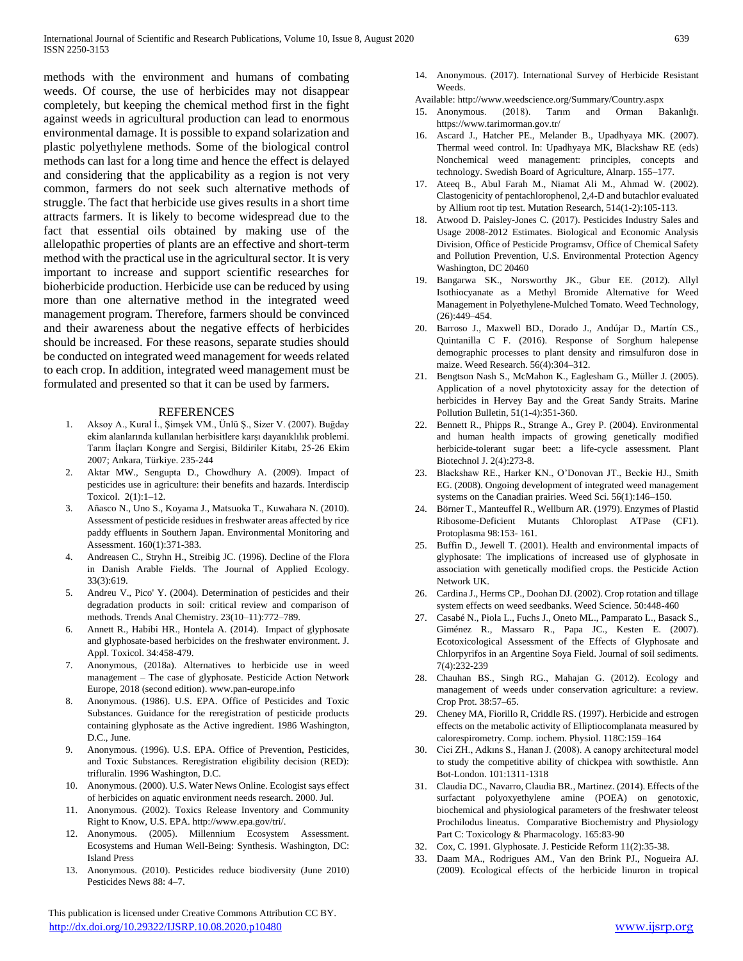methods with the environment and humans of combating weeds. Of course, the use of herbicides may not disappear completely, but keeping the chemical method first in the fight against weeds in agricultural production can lead to enormous environmental damage. It is possible to expand solarization and plastic polyethylene methods. Some of the biological control methods can last for a long time and hence the effect is delayed and considering that the applicability as a region is not very common, farmers do not seek such alternative methods of struggle. The fact that herbicide use gives results in a short time attracts farmers. It is likely to become widespread due to the fact that essential oils obtained by making use of the allelopathic properties of plants are an effective and short-term method with the practical use in the agricultural sector. It is very important to increase and support scientific researches for bioherbicide production. Herbicide use can be reduced by using more than one alternative method in the integrated weed management program. Therefore, farmers should be convinced and their awareness about the negative effects of herbicides should be increased. For these reasons, separate studies should be conducted on integrated weed management for weeds related to each crop. In addition, integrated weed management must be formulated and presented so that it can be used by farmers.

#### REFERENCES

- 1. Aksoy A., Kural İ., Şimşek VM., Ünlü Ş., Sizer V. (2007). Buğday ekim alanlarında kullanılan herbisitlere karşı dayanıklılık problemi. Tarım İlaçları Kongre and Sergisi, Bildiriler Kitabı, 25-26 Ekim 2007; Ankara, Türkiye. 235-244
- 2. Aktar MW., Sengupta D., Chowdhury A. (2009). Impact of pesticides use in agriculture: their benefits and hazards. Interdiscip Toxicol. 2(1):1–12.
- 3. Añasco N., Uno S., Koyama J., Matsuoka T., Kuwahara N. (2010). Assessment of pesticide residues in freshwater areas affected by rice paddy effluents in Southern Japan. Environmental Monitoring and Assessment. 160(1):371-383.
- 4. Andreasen C., Stryhn H., Streibig JC. (1996). Decline of the Flora in Danish Arable Fields. The Journal of Applied Ecology. 33(3):619.
- 5. Andreu V., Pico' Y. (2004). Determination of pesticides and their degradation products in soil: critical review and comparison of methods. Trends Anal Chemistry. 23(10–11):772–789.
- 6. Annett R., Habibi HR., Hontela A. (2014). Impact of glyphosate and glyphosate-based herbicides on the freshwater environment. J. Appl. Toxicol. 34:458-479.
- 7. Anonymous, (2018a). Alternatives to herbicide use in weed management – The case of glyphosate. Pesticide Action Network Europe, 2018 (second edition). www.pan-europe.info
- 8. Anonymous. (1986). U.S. EPA. Office of Pesticides and Toxic Substances. Guidance for the reregistration of pesticide products containing glyphosate as the Active ingredient. 1986 Washington, D.C., June.
- 9. Anonymous. (1996). U.S. EPA. Office of Prevention, Pesticides, and Toxic Substances. Reregistration eligibility decision (RED): trifluralin. 1996 Washington, D.C.
- 10. Anonymous. (2000). U.S. Water News Online. Ecologist says effect of herbicides on aquatic environment needs research. 2000. Jul.
- 11. Anonymous. (2002). Toxics Release Inventory and Community Right to Know, U.S. EPA. http://www.epa.gov/tri/.
- 12. Anonymous. (2005). Millennium Ecosystem Assessment. Ecosystems and Human Well-Being: Synthesis. Washington, DC: Island Press
- 13. Anonymous. (2010). Pesticides reduce biodiversity (June 2010) Pesticides News 88: 4–7.

 This publication is licensed under Creative Commons Attribution CC BY. <http://dx.doi.org/10.29322/IJSRP.10.08.2020.p10480> [www.ijsrp.org](http://ijsrp.org/)

14. Anonymous. (2017). International Survey of Herbicide Resistant Weeds.

Available: http://www.weedscience.org/Summary/Country.aspx

- 15. Anonymous. (2018). Tarım and Orman Bakanlığı. https://www.tarimorman.gov.tr/
- 16. Ascard J., Hatcher PE., Melander B., Upadhyaya MK. (2007). Thermal weed control. In: Upadhyaya MK, Blackshaw RE (eds) Nonchemical weed management: principles, concepts and technology. Swedish Board of Agriculture, Alnarp. 155–177.
- 17. Ateeq B., Abul Farah M., Niamat Ali M., Ahmad W. (2002). Clastogenicity of pentachlorophenol, 2,4-D and butachlor evaluated by Allium root tip test. Mutation Research, 514(1-2):105-113.
- 18. Atwood D. Paisley-Jones C. (2017). Pesticides Industry Sales and Usage 2008-2012 Estimates. Biological and Economic Analysis Division, Office of Pesticide Programsv, Office of Chemical Safety and Pollution Prevention, U.S. Environmental Protection Agency Washington, DC 20460
- 19. Bangarwa SK., Norsworthy JK., Gbur EE. (2012). Allyl Isothiocyanate as a Methyl Bromide Alternative for Weed Management in Polyethylene-Mulched Tomato. Weed Technology, (26):449–454.
- 20. Barroso J., Maxwell BD., Dorado J., Andújar D., Martín CS., Quintanilla C F. (2016). Response of Sorghum halepense demographic processes to plant density and rimsulfuron dose in maize. Weed Research. 56(4):304–312.
- 21. Bengtson Nash S., McMahon K., Eaglesham G., Müller J. (2005). Application of a novel phytotoxicity assay for the detection of herbicides in Hervey Bay and the Great Sandy Straits. Marine Pollution Bulletin, 51(1-4):351-360.
- 22. Bennett R., Phipps R., Strange A., Grey P. (2004). Environmental and human health impacts of growing genetically modified herbicide-tolerant sugar beet: a life-cycle assessment. Plant Biotechnol J. 2(4):273-8.
- 23. Blackshaw RE., Harker KN., O'Donovan JT., Beckie HJ., Smith EG. (2008). Ongoing development of integrated weed management systems on the Canadian prairies. Weed Sci. 56(1):146–150.
- 24. Börner T., Manteuffel R., Wellburn AR. (1979). Enzymes of Plastid Ribosome-Deficient Mutants Chloroplast ATPase (CF1). Protoplasma 98:153- 161.
- 25. Buffin D., Jewell T. (2001). Health and environmental impacts of glyphosate: The implications of increased use of glyphosate in association with genetically modified crops. the Pesticide Action Network UK.
- 26. Cardina J., Herms CP., Doohan DJ. (2002). Crop rotation and tillage system effects on weed seedbanks. Weed Science. 50:448-460
- 27. Casabé N., Piola L., Fuchs J., Oneto ML., Pamparato L., Basack S., Giménez R., Massaro R., Papa JC., Kesten E. (2007). Ecotoxicological Assessment of the Effects of Glyphosate and Chlorpyrifos in an Argentine Soya Field. Journal of soil sediments. 7(4):232-239
- 28. Chauhan BS., Singh RG., Mahajan G. (2012). Ecology and management of weeds under conservation agriculture: a review. Crop Prot. 38:57–65.
- 29. Cheney MA, Fiorillo R, Criddle RS. (1997). Herbicide and estrogen effects on the metabolic activity of Elliptiocomplanata measured by calorespirometry. Comp. iochem. Physiol. 118C:159–164
- 30. Cici ZH., Adkıns S., Hanan J. (2008). A canopy architectural model to study the competitive ability of chickpea with sowthistle. Ann Bot-London. 101:1311-1318
- 31. Claudia DC., Navarro, Claudia BR., Martinez. (2014). Effects of the surfactant polyoxyethylene amine (POEA) on genotoxic, biochemical and physiological parameters of the freshwater teleost Prochilodus lineatus. Comparative Biochemistry and Physiology Part C: Toxicology & Pharmacology. 165:83-90
- 32. Cox, C. 1991. Glyphosate. J. Pesticide Reform 11(2):35-38.
- 33. Daam MA., Rodrigues AM., Van den Brink PJ., Nogueira AJ. (2009). Ecological effects of the herbicide linuron in tropical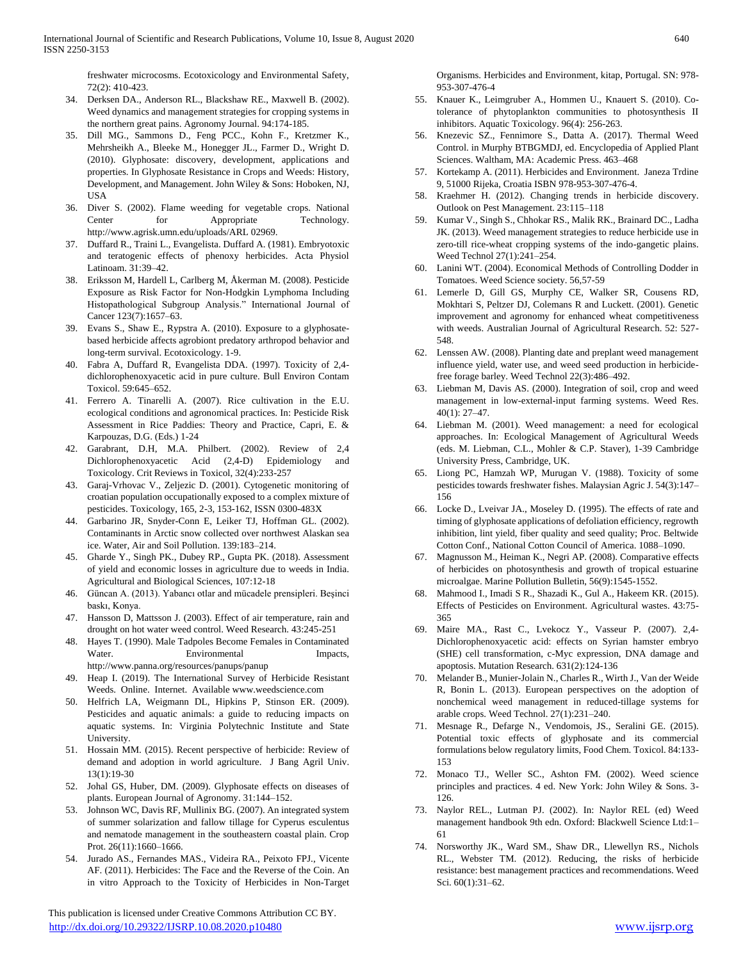freshwater microcosms. Ecotoxicology and Environmental Safety, 72(2): 410-423.

- 34. Derksen DA., Anderson RL., Blackshaw RE., Maxwell B. (2002). Weed dynamics and management strategies for cropping systems in the northern great pains. Agronomy Journal. 94:174-185.
- 35. Dill MG., Sammons D., Feng PCC., Kohn F., Kretzmer K., Mehrsheikh A., Bleeke M., Honegger JL., Farmer D., Wright D. (2010). Glyphosate: discovery, development, applications and properties. In Glyphosate Resistance in Crops and Weeds: History, Development, and Management. John Wiley & Sons: Hoboken, NJ, USA
- 36. Diver S. (2002). Flame weeding for vegetable crops. National Center for Appropriate Technology. http://www.agrisk.umn.edu/uploads/ARL 02969.
- 37. Duffard R., Traini L., Evangelista. Duffard A. (1981). Embryotoxic and teratogenic effects of phenoxy herbicides. Acta Physiol Latinoam. 31:39–42.
- 38. Eriksson M, Hardell L, Carlberg M, Åkerman M. (2008). Pesticide Exposure as Risk Factor for Non-Hodgkin Lymphoma Including Histopathological Subgroup Analysis." International Journal of Cancer 123(7):1657–63.
- 39. Evans S., Shaw E., Rypstra A. (2010). Exposure to a glyphosatebased herbicide affects agrobiont predatory arthropod behavior and long-term survival. Ecotoxicology. 1-9.
- 40. Fabra A, Duffard R, Evangelista DDA. (1997). Toxicity of 2,4 dichlorophenoxyacetic acid in pure culture. Bull Environ Contam Toxicol. 59:645–652.
- 41. Ferrero A. Tinarelli A. (2007). Rice cultivation in the E.U. ecological conditions and agronomical practices. In: Pesticide Risk Assessment in Rice Paddies: Theory and Practice, Capri, E. & Karpouzas, D.G. (Eds.) 1-24
- 42. Garabrant, D.H, M.A. Philbert. (2002). Review of 2,4 Dichlorophenoxyacetic Acid (2,4-D) Epidemiology and Toxicology. Crit Reviews in Toxicol, 32(4):233-257
- 43. Garaj-Vrhovac V., Zeljezic D. (2001). Cytogenetic monitoring of croatian population occupationally exposed to a complex mixture of pesticides. Toxicology, 165, 2-3, 153-162, ISSN 0300-483X
- 44. Garbarino JR, Snyder-Conn E, Leiker TJ, Hoffman GL. (2002). Contaminants in Arctic snow collected over northwest Alaskan sea ice. Water, Air and Soil Pollution. 139:183–214.
- 45. Gharde Y., Singh PK., Dubey RP., Gupta PK. (2018). Assessment of yield and economic losses in agriculture due to weeds in India. Agricultural and Biological Sciences, 107:12-18
- 46. Güncan A. (2013). Yabancı otlar and mücadele prensipleri. Beşinci baskı, Konya.
- 47. Hansson D, Mattsson J. (2003). Effect of air temperature, rain and drought on hot water weed control. Weed Research. 43:245-251
- 48. Hayes T. (1990). Male Tadpoles Become Females in Contaminated Water. Environmental Impacts, http://www.panna.org/resources/panups/panup
- 49. Heap I. (2019). The International Survey of Herbicide Resistant Weeds. Online. Internet. Available www.weedscience.com
- 50. Helfrich LA, Weigmann DL, Hipkins P, Stinson ER. (2009). Pesticides and aquatic animals: a guide to reducing impacts on aquatic systems. In: Virginia Polytechnic Institute and State University.
- 51. Hossain MM. (2015). Recent perspective of herbicide: Review of demand and adoption in world agriculture. J Bang Agril Univ. 13(1):19-30
- 52. Johal GS, Huber, DM. (2009). Glyphosate effects on diseases of plants. European Journal of Agronomy. 31:144–152.
- 53. Johnson WC, Davis RF, Mullinix BG. (2007). An integrated system of summer solarization and fallow tillage for Cyperus esculentus and nematode management in the southeastern coastal plain. Crop Prot. 26(11):1660–1666.
- 54. Jurado AS., Fernandes MAS., Videira RA., Peixoto FPJ., Vicente AF. (2011). Herbicides: The Face and the Reverse of the Coin. An in vitro Approach to the Toxicity of Herbicides in Non-Target

 This publication is licensed under Creative Commons Attribution CC BY. <http://dx.doi.org/10.29322/IJSRP.10.08.2020.p10480> [www.ijsrp.org](http://ijsrp.org/)

Organisms. Herbicides and Environment, kitap, Portugal. SN: 978- 953-307-476-4

- 55. Knauer K., Leimgruber A., Hommen U., Knauert S. (2010). Cotolerance of phytoplankton communities to photosynthesis II inhibitors. Aquatic Toxicology. 96(4): 256-263.
- 56. Knezevic SZ., Fennimore S., Datta A. (2017). Thermal Weed Control. in Murphy BTBGMDJ, ed. Encyclopedia of Applied Plant Sciences. Waltham, MA: Academic Press. 463–468
- 57. Kortekamp A. (2011). Herbicides and Environment. Janeza Trdine 9, 51000 Rijeka, Croatia ISBN 978-953-307-476-4.
- 58. Kraehmer H. (2012). Changing trends in herbicide discovery. Outlook on Pest Management. 23:115–118
- 59. Kumar V., Singh S., Chhokar RS., Malik RK., Brainard DC., Ladha JK. (2013). Weed management strategies to reduce herbicide use in zero-till rice-wheat cropping systems of the indo-gangetic plains. Weed Technol 27(1):241–254.
- 60. Lanini WT. (2004). Economical Methods of Controlling Dodder in Tomatoes. Weed Science society. 56,57-59
- 61. Lemerle D, Gill GS, Murphy CE, Walker SR, Cousens RD, Mokhtari S, Peltzer DJ, Colemans R and Luckett. (2001). Genetic improvement and agronomy for enhanced wheat competitiveness with weeds. Australian Journal of Agricultural Research. 52: 527- 548.
- 62. Lenssen AW. (2008). Planting date and preplant weed management influence yield, water use, and weed seed production in herbicidefree forage barley. Weed Technol 22(3):486–492.
- 63. Liebman M, Davis AS. (2000). Integration of soil, crop and weed management in low-external-input farming systems. Weed Res. 40(1): 27–47.
- 64. Liebman M. (2001). Weed management: a need for ecological approaches. In: Ecological Management of Agricultural Weeds (eds. M. Liebman, C.L., Mohler & C.P. Staver), 1-39 Cambridge University Press, Cambridge, UK.
- 65. Liong PC, Hamzah WP, Murugan V. (1988). Toxicity of some pesticides towards freshwater fishes. Malaysian Agric J. 54(3):147– 156
- 66. Locke D., Lveivar JA., Moseley D. (1995). The effects of rate and timing of glyphosate applications of defoliation efficiency, regrowth inhibition, lint yield, fiber quality and seed quality; Proc. Beltwide Cotton Conf., National Cotton Council of America. 1088–1090.
- 67. Magnusson M., Heiman K., Negri AP. (2008). Comparative effects of herbicides on photosynthesis and growth of tropical estuarine microalgae. Marine Pollution Bulletin, 56(9):1545-1552.
- 68. Mahmood I., Imadi S R., Shazadi K., Gul A., Hakeem KR. (2015). Effects of Pesticides on Environment. Agricultural wastes. 43:75- 365
- 69. Maire MA., Rast C., Lvekocz Y., Vasseur P. (2007). 2,4- Dichlorophenoxyacetic acid: effects on Syrian hamster embryo (SHE) cell transformation, c-Myc expression, DNA damage and apoptosis. Mutation Research. 631(2):124-136
- 70. Melander B., Munier-Jolain N., Charles R., Wirth J., Van der Weide R, Bonin L. (2013). European perspectives on the adoption of nonchemical weed management in reduced-tillage systems for arable crops. Weed Technol. 27(1):231–240.
- 71. Mesnage R., Defarge N., Vendomois, JS., Seralini GE. (2015). Potential toxic effects of glyphosate and its commercial formulations below regulatory limits, Food Chem. Toxicol. 84:133- 153
- 72. Monaco TJ., Weller SC., Ashton FM. (2002). Weed science principles and practices. 4 ed. New York: John Wiley & Sons. 3- 126.
- 73. Naylor REL., Lutman PJ. (2002). In: Naylor REL (ed) Weed management handbook 9th edn. Oxford: Blackwell Science Ltd:1– 61
- 74. Norsworthy JK., Ward SM., Shaw DR., Llewellyn RS., Nichols RL., Webster TM. (2012). Reducing, the risks of herbicide resistance: best management practices and recommendations. Weed Sci. 60(1):31–62.